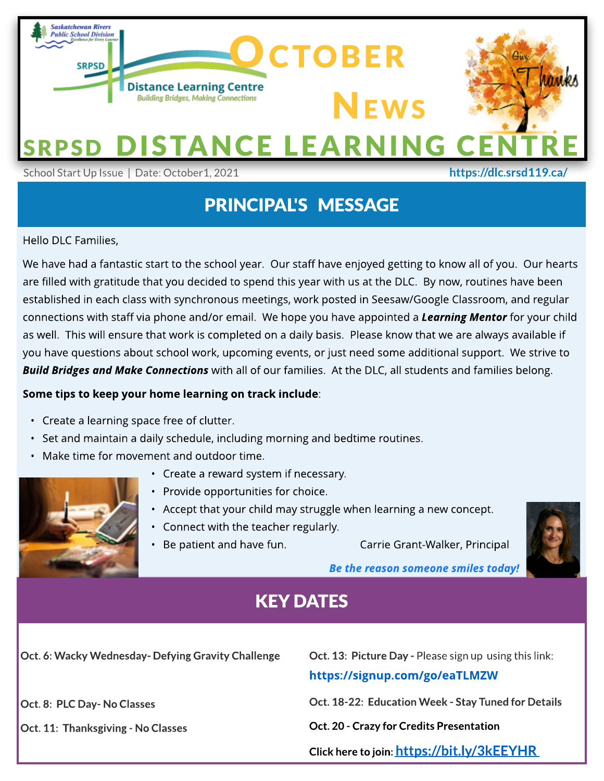

## PRINCIPAL'S MESSAGE

Hello DLC Families,

aff via phone and/or email. We hope you have appointed a<br>sure that work is completed on a daily basis. Please know tl<br>about school work, uncoming events, or just need some ad are mied with graditade that you decided to spend this year with us at the DEC. By now, rodintes have been<br>established in each class with synchronous meetings, work posted in Seesaw/Google Classroom, and regular We have had a fantastic start to the school year. Our staff have enjoyed getting to know all of you. Our hearts are filled with gratitude that you decided to spend this year with us at the DLC. By now, routines have been connections with staff via phone and/or email. We hope you have appointed a **Learning Mentor** for your child as well. This will ensure that work is completed on a daily basis. Please know that we are always available if you have questions about school work, upcoming events, or just need some additional support. We strive to **Build Bridges and Make Connections** with all of our families. At the DLC, all students and families belong.

#### Some tips to keep your home learning on track include:

- Create a learning space free of clutter.
- Set and maintain a daily schedule, including morning and bedtime routines.
- Make time for movement and outdoor time.



- Create a reward system if necessary.
- Provide opportunities for choice.
- Accept that your child may struggle when learning a new concept.
- Connect with the teacher regularly.
- Be patient and have fun. Carrie Grant-Walker, Principal



**Be the reason someone smiles today!**

## KEY DATES

Oct. 6: Wacky Wednesday- Defying Gravity Challenge

Oct. 8: PLC Day- No Classes

Oct. 11: Thanksgiving - No Classes

Oct. 13: Picture Day - Please sign up using this link:

#### https://signup.com[/go/eaTLMZW](https://signup.com/go/eaTLMZW)

Oct.18-22: Education Week - Stay Tuned for Details

Oct. 20 - Crazy for Credits Presentation

Click here to join: <https://bit.ly/3kEEYHR>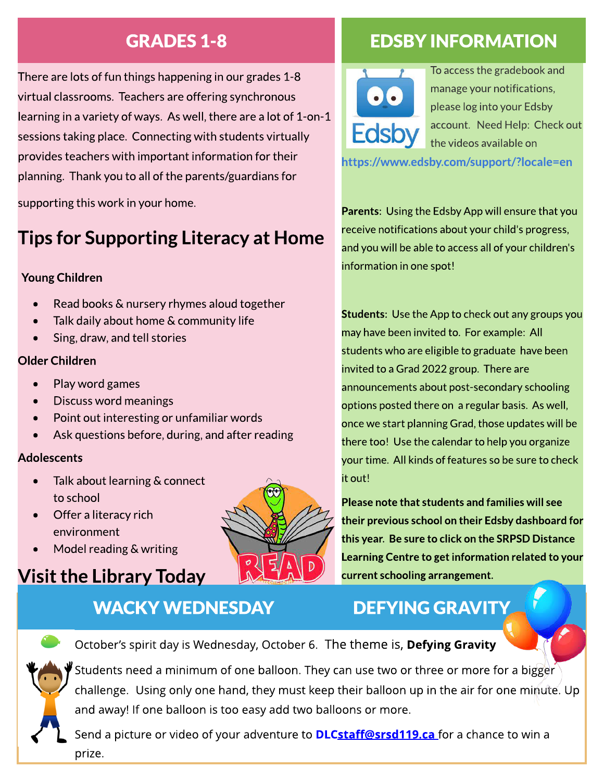There are lots of fun things happening in our grades 1-8 virtual classrooms. Teachers are offering synchronous learning in a variety of ways. As well, there are a lot of 1-on-1 sessions taking place. Connecting with students virtually provides teachers with important information for their planning. Thank you to all of the parents/guardiansfor

supporting this work in your home.

# Tips for Supporting Literacy at Home

### Young Children

- Read books & nursery rhymes aloud together
- Talk daily about home & community life
- Sing, draw, and tell stories

#### Older Children

- Play word games
- Discuss word meanings
- Point out interesting or unfamiliar words
- Ask questions before, during, and after reading

#### **Adolescents**

- Talk about learning & connect to school
- Offer a literacy rich environment
- Model reading & writing

## Visit the Library Today

## WACKY WEDNESDAY DEFYING GRAVITY

## GRADES1-8 EDSBY INFORMATION



To access the gradebook and manage your notifications, please log into your Edsby account. Need Help: Check out the videos available on

<https://www.edsby.com/support/?locale=en>

Parents: Using the Edsby App will ensure that you receive notifications about your child's progress, and you will be able to accessall of your children's information in one spot!

Students: Use the App to check out any groups you may have been invited to. For example: All students who are eligible to graduate have been invited to aGrad 2022 group. There are announcements about post-secondary schooling optionsposted there on a regular basis. Aswell, once we start planning Grad, those updates will be there too! Use the calendar to help you organize your time. All kinds of features so be sure to check it out!

Please note that students and families will see their previous school on their Edsby dashboard for this year. Be sure to click on the SRPSD Distance Learning Centre to get information related to your current schooling arrangement.

October's spirit day is Wednesday, October 6. The theme is, Defying Gravity



Students need a minimum of one balloon. They can use two or three or more for a bigger challenge. Using only one hand, they must keep their balloon up in the air for one minute. Up and away! If one balloon is too easy add two balloons or more.

Send a picture or video of your adventure to **[DLC](http://DLCStaff@srsd119.ca)st[aff@srsd119.ca](http://DLCStaff@srsd119.ca)** for a chance to win a prize.

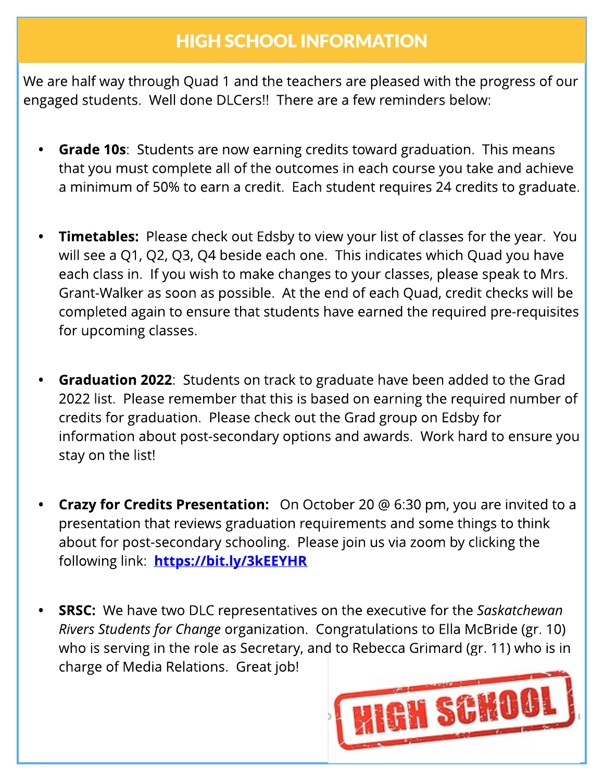## HIGH SCHOOL INFORMATION

We are half way through Quad 1 and the teachers are pleased with the progress of our engaged students. Well done DLCers!! There are a few reminders below:

- Grade 10s: Students are now earning credits toward graduation. This means that you must complete all of the outcomes in each course you take and achieve a minimum of 50% to earn a credit. Each student requires 24 credits to graduate.
- Timetables: Please check out Edsby to view your list of classes for the year. You will see a Q1, Q2, Q3, Q4 beside each one. This indicates which Quad you have each class in. If you wish to make changes to your classes, please speak to Mrs. Grant-Walker as soon as possible. At the end of each Quad, credit checks will be completed again to ensure that students have earned the required pre-requisites for upcoming classes.
- **Graduation 2022:** Students on track to graduate have been added to the Grad 2022 list. Please remember that this is based on earning the required number of credits for graduation. Please check out the Grad group on Edsby for information about post-secondary options and awards. Work hard to ensure you stay on the list!
- **Crazy for Credits Presentation:** On October 20 @ 6:30 pm, you are invited to a presentation that reviews graduation requirements and some things to think about for post-secondary schooling. Please join us via zoom by clicking the following link: https://bit[.ly/3kEEYHR](https://bit.ly/3kEEYHR)
- **SRSC:** We have two DLC representatives on the executive for the Saskatchewan **Rivers Students for Change organization. Congratulations to Ella McBride (gr. 10)** who is serving in the role as Secretary, and to Rebecca Grimard (gr. 11) who is in charge of Media Relations. Great job!